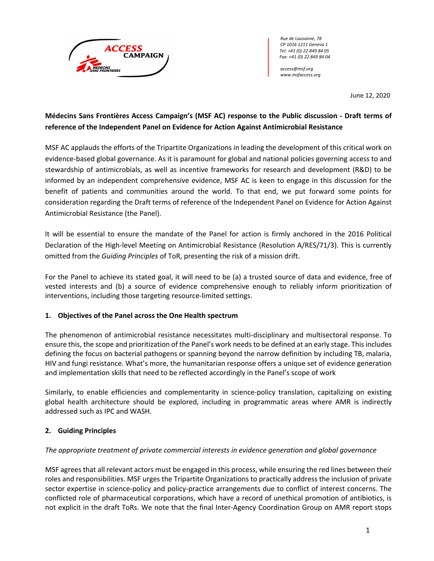

*Rue de Lausanne, 78 CP 1016 1211 Geneva 1 Tel: +41 (0) 22 849 84 05 Fax: +41 (0) 22 849 84 04*

*access@msf.org www.msfaccess.org*

June 12, 2020

# **Médecins Sans Frontières Access Campaign's (MSF AC) response to the Public discussion - Draft terms of reference of the Independent Panel on Evidence for Action Against Antimicrobial Resistance**

MSF AC applauds the efforts of the Tripartite Organizations in leading the development of this critical work on evidence-based global governance. As it is paramount for global and national policies governing access to and stewardship of antimicrobials, as well as incentive frameworks for research and development (R&D) to be informed by an independent comprehensive evidence, MSF AC is keen to engage in this discussion for the benefit of patients and communities around the world. To that end, we put forward some points for consideration regarding the Draft terms of reference of the Independent Panel on Evidence for Action Against Antimicrobial Resistance (the Panel).

It will be essential to ensure the mandate of the Panel for action is firmly anchored in the 2016 Political Declaration of the High-level Meeting on Antimicrobial Resistance (Resolution A/RES/71/3). This is currently omitted from the *Guiding Principles* of ToR, presenting the risk of a mission drift.

For the Panel to achieve its stated goal, it will need to be (a) a trusted source of data and evidence, free of vested interests and (b) a source of evidence comprehensive enough to reliably inform prioritization of interventions, including those targeting resource-limited settings.

## **1. Objectives of the Panel across the One Health spectrum**

The phenomenon of antimicrobial resistance necessitates multi-disciplinary and multisectoral response. To ensure this, the scope and prioritization of the Panel's work needs to be defined at an early stage. This includes defining the focus on bacterial pathogens or spanning beyond the narrow definition by including TB, malaria, HIV and fungi resistance. What's more, the humanitarian response offers a unique set of evidence generation and implementation skills that need to be reflected accordingly in the Panel's scope of work

Similarly, to enable efficiencies and complementarity in science-policy translation, capitalizing on existing global health architecture should be explored, including in programmatic areas where AMR is indirectly addressed such as IPC and WASH.

## **2. Guiding Principles**

## *The appropriate treatment of private commercial interests in evidence generation and global governance*

MSF agrees that all relevant actors must be engaged in this process, while ensuring the red lines between their roles and responsibilities. MSF urges the Tripartite Organizations to practically address the inclusion of private sector expertise in science-policy and policy-practice arrangements due to conflict of interest concerns. The conflicted role of pharmaceutical corporations, which have a record of unethical promotion of antibiotics, is not explicit in the draft ToRs. We note that the final Inter-Agency Coordination Group on AMR report stops